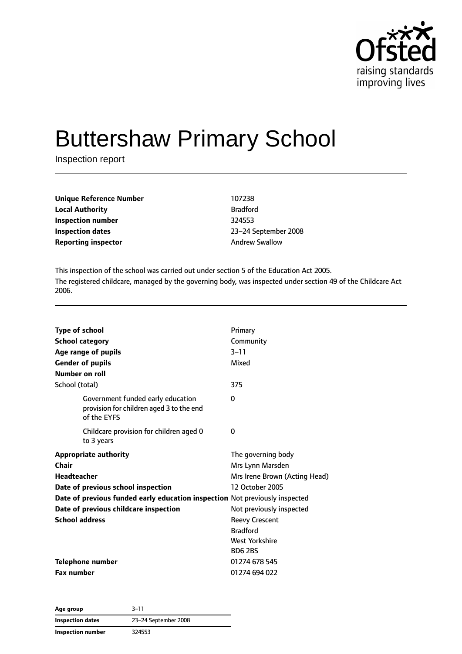

# Buttershaw Primary School

Inspection report

| <b>Unique Reference Number</b> | 107238                |
|--------------------------------|-----------------------|
| <b>Local Authority</b>         | <b>Bradford</b>       |
| Inspection number              | 324553                |
| Inspection dates               | 23-24 Septembe        |
| <b>Reporting inspector</b>     | <b>Andrew Swallow</b> |

**Local Authority** Bradford **Inspection number** 324553 **Inspection dates** 23–24 September 2008

This inspection of the school was carried out under section 5 of the Education Act 2005. The registered childcare, managed by the governing body, was inspected under section 49 of the Childcare Act 2006.

| <b>Type of school</b><br><b>Number on roll</b><br>School (total) | <b>School category</b><br>Age range of pupils<br><b>Gender of pupils</b>                     | Primary<br>Community<br>$3 - 11$<br>Mixed<br>375 |
|------------------------------------------------------------------|----------------------------------------------------------------------------------------------|--------------------------------------------------|
|                                                                  | Government funded early education<br>provision for children aged 3 to the end<br>of the EYFS | $\Omega$                                         |
|                                                                  | Childcare provision for children aged 0<br>to 3 years                                        | 0                                                |
|                                                                  | <b>Appropriate authority</b>                                                                 | The governing body                               |
| Chair                                                            |                                                                                              | Mrs Lynn Marsden                                 |
| <b>Headteacher</b>                                               |                                                                                              | Mrs Irene Brown (Acting Head)                    |
|                                                                  | Date of previous school inspection                                                           | 12 October 2005                                  |
|                                                                  | Date of previous funded early education inspection Not previously inspected                  |                                                  |
|                                                                  | Date of previous childcare inspection                                                        | Not previously inspected                         |
| <b>School address</b>                                            |                                                                                              | <b>Reevy Crescent</b>                            |
|                                                                  |                                                                                              | <b>Bradford</b>                                  |
|                                                                  |                                                                                              | West Yorkshire                                   |
|                                                                  |                                                                                              | <b>BD6 2BS</b>                                   |
|                                                                  | Telephone number                                                                             | 01274 678 545                                    |
| <b>Fax number</b>                                                |                                                                                              | 01274 694 022                                    |

| Age group         | $3 - 11$             |
|-------------------|----------------------|
| Inspection dates  | 23-24 September 2008 |
| Inspection number | 324553               |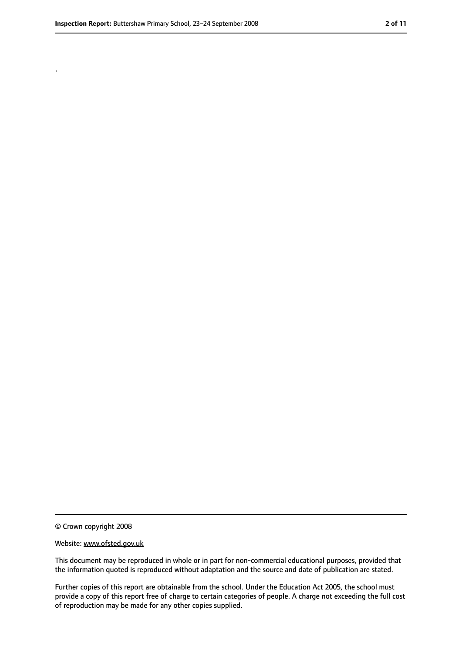.

<sup>©</sup> Crown copyright 2008

Website: www.ofsted.gov.uk

This document may be reproduced in whole or in part for non-commercial educational purposes, provided that the information quoted is reproduced without adaptation and the source and date of publication are stated.

Further copies of this report are obtainable from the school. Under the Education Act 2005, the school must provide a copy of this report free of charge to certain categories of people. A charge not exceeding the full cost of reproduction may be made for any other copies supplied.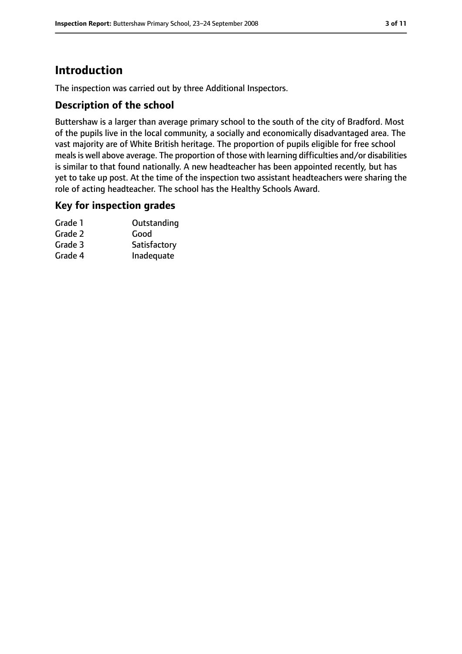# **Introduction**

The inspection was carried out by three Additional Inspectors.

# **Description of the school**

Buttershaw is a larger than average primary school to the south of the city of Bradford. Most of the pupils live in the local community, a socially and economically disadvantaged area. The vast majority are of White British heritage. The proportion of pupils eligible for free school meals is well above average. The proportion of those with learning difficulties and/or disabilities is similar to that found nationally. A new headteacher has been appointed recently, but has yet to take up post. At the time of the inspection two assistant headteachers were sharing the role of acting headteacher. The school has the Healthy Schools Award.

### **Key for inspection grades**

| Grade 1 | Outstanding  |
|---------|--------------|
| Grade 2 | Good         |
| Grade 3 | Satisfactory |
| Grade 4 | Inadequate   |
|         |              |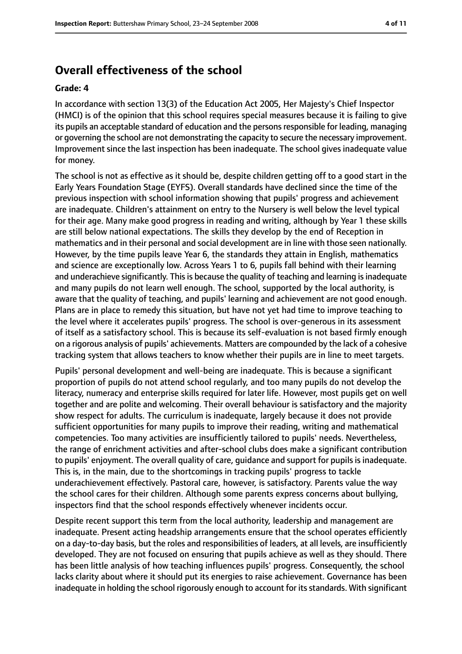# **Overall effectiveness of the school**

#### **Grade: 4**

In accordance with section 13(3) of the Education Act 2005, Her Majesty's Chief Inspector (HMCI) is of the opinion that this school requires special measures because it is failing to give its pupils an acceptable standard of education and the persons responsible for leading, managing or governing the school are not demonstrating the capacity to secure the necessary improvement. Improvement since the last inspection has been inadequate. The school gives inadequate value for money.

The school is not as effective as it should be, despite children getting off to a good start in the Early Years Foundation Stage (EYFS). Overall standards have declined since the time of the previous inspection with school information showing that pupils' progress and achievement are inadequate. Children's attainment on entry to the Nursery is well below the level typical for their age. Many make good progress in reading and writing, although by Year 1 these skills are still below national expectations. The skills they develop by the end of Reception in mathematics and in their personal and social development are in line with those seen nationally. However, by the time pupils leave Year 6, the standards they attain in English, mathematics and science are exceptionally low. Across Years 1 to 6, pupils fall behind with their learning and underachieve significantly. This is because the quality of teaching and learning is inadequate and many pupils do not learn well enough. The school, supported by the local authority, is aware that the quality of teaching, and pupils' learning and achievement are not good enough. Plans are in place to remedy this situation, but have not yet had time to improve teaching to the level where it accelerates pupils' progress. The school is over-generous in its assessment of itself as a satisfactory school. This is because its self-evaluation is not based firmly enough on a rigorous analysis of pupils' achievements. Matters are compounded by the lack of a cohesive tracking system that allows teachers to know whether their pupils are in line to meet targets.

Pupils' personal development and well-being are inadequate. This is because a significant proportion of pupils do not attend school regularly, and too many pupils do not develop the literacy, numeracy and enterprise skills required for later life. However, most pupils get on well together and are polite and welcoming. Their overall behaviour is satisfactory and the majority show respect for adults. The curriculum is inadequate, largely because it does not provide sufficient opportunities for many pupils to improve their reading, writing and mathematical competencies. Too many activities are insufficiently tailored to pupils' needs. Nevertheless, the range of enrichment activities and after-school clubs does make a significant contribution to pupils' enjoyment. The overall quality of care, quidance and support for pupils is inadequate. This is, in the main, due to the shortcomings in tracking pupils' progress to tackle underachievement effectively. Pastoral care, however, is satisfactory. Parents value the way the school cares for their children. Although some parents express concerns about bullying, inspectors find that the school responds effectively whenever incidents occur.

Despite recent support this term from the local authority, leadership and management are inadequate. Present acting headship arrangements ensure that the school operates efficiently on a day-to-day basis, but the roles and responsibilities of leaders, at all levels, are insufficiently developed. They are not focused on ensuring that pupils achieve as well as they should. There has been little analysis of how teaching influences pupils' progress. Consequently, the school lacks clarity about where it should put its energies to raise achievement. Governance has been inadequate in holding the school rigorously enough to account for itsstandards. With significant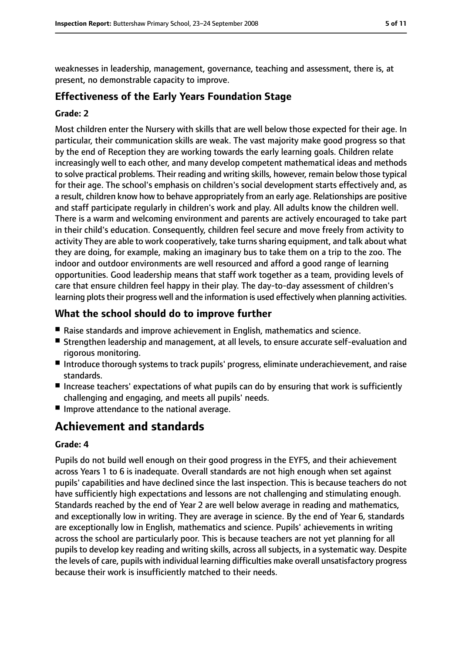weaknesses in leadership, management, governance, teaching and assessment, there is, at present, no demonstrable capacity to improve.

## **Effectiveness of the Early Years Foundation Stage**

#### **Grade: 2**

Most children enter the Nursery with skills that are well below those expected for their age. In particular, their communication skills are weak. The vast majority make good progress so that by the end of Reception they are working towards the early learning goals. Children relate increasingly well to each other, and many develop competent mathematical ideas and methods to solve practical problems. Their reading and writing skills, however, remain below those typical for their age. The school's emphasis on children's social development starts effectively and, as a result, children know how to behave appropriately from an early age. Relationships are positive and staff participate regularly in children's work and play. All adults know the children well. There is a warm and welcoming environment and parents are actively encouraged to take part in their child's education. Consequently, children feel secure and move freely from activity to activity They are able to work cooperatively, take turns sharing equipment, and talk about what they are doing, for example, making an imaginary bus to take them on a trip to the zoo. The indoor and outdoor environments are well resourced and afford a good range of learning opportunities. Good leadership means that staff work together as a team, providing levels of care that ensure children feel happy in their play. The day-to-day assessment of children's learning plots their progress well and the information is used effectively when planning activities.

## **What the school should do to improve further**

- Raise standards and improve achievement in English, mathematics and science.
- Strengthen leadership and management, at all levels, to ensure accurate self-evaluation and rigorous monitoring.
- Introduce thorough systems to track pupils' progress, eliminate underachievement, and raise standards.
- Increase teachers' expectations of what pupils can do by ensuring that work is sufficiently challenging and engaging, and meets all pupils' needs.
- Improve attendance to the national average.

# **Achievement and standards**

#### **Grade: 4**

Pupils do not build well enough on their good progress in the EYFS, and their achievement across Years 1 to 6 is inadequate. Overall standards are not high enough when set against pupils' capabilities and have declined since the last inspection. This is because teachers do not have sufficiently high expectations and lessons are not challenging and stimulating enough. Standards reached by the end of Year 2 are well below average in reading and mathematics, and exceptionally low in writing. They are average in science. By the end of Year 6, standards are exceptionally low in English, mathematics and science. Pupils' achievements in writing across the school are particularly poor. This is because teachers are not yet planning for all pupils to develop key reading and writing skills, across all subjects, in a systematic way. Despite the levels of care, pupils with individual learning difficulties make overall unsatisfactory progress because their work is insufficiently matched to their needs.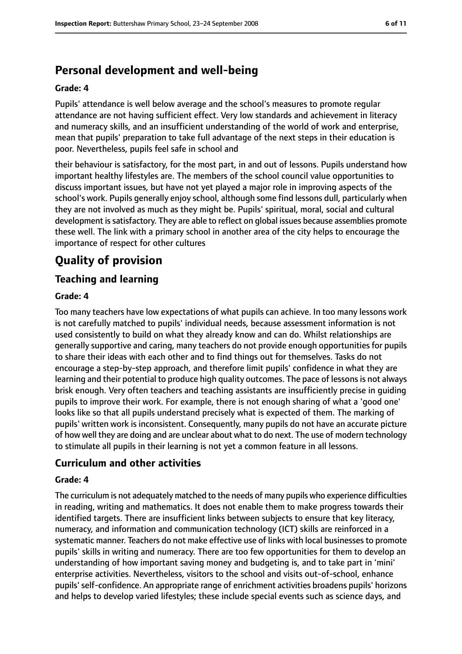# **Personal development and well-being**

#### **Grade: 4**

Pupils' attendance is well below average and the school's measures to promote regular attendance are not having sufficient effect. Very low standards and achievement in literacy and numeracy skills, and an insufficient understanding of the world of work and enterprise, mean that pupils' preparation to take full advantage of the next steps in their education is poor. Nevertheless, pupils feel safe in school and

their behaviour is satisfactory, for the most part, in and out of lessons. Pupils understand how important healthy lifestyles are. The members of the school council value opportunities to discuss important issues, but have not yet played a major role in improving aspects of the school's work. Pupils generally enjoy school, although some find lessons dull, particularly when they are not involved as much as they might be. Pupils' spiritual, moral, social and cultural development is satisfactory. They are able to reflect on global issues because assemblies promote these well. The link with a primary school in another area of the city helps to encourage the importance of respect for other cultures

# **Quality of provision**

# **Teaching and learning**

#### **Grade: 4**

Too many teachers have low expectations of what pupils can achieve. In too many lessons work is not carefully matched to pupils' individual needs, because assessment information is not used consistently to build on what they already know and can do. Whilst relationships are generally supportive and caring, many teachers do not provide enough opportunities for pupils to share their ideas with each other and to find things out for themselves. Tasks do not encourage a step-by-step approach, and therefore limit pupils' confidence in what they are learning and their potential to produce high quality outcomes. The pace of lessons is not always brisk enough. Very often teachers and teaching assistants are insufficiently precise in guiding pupils to improve their work. For example, there is not enough sharing of what a 'good one' looks like so that all pupils understand precisely what is expected of them. The marking of pupils' written work is inconsistent. Consequently, many pupils do not have an accurate picture of how well they are doing and are unclear about what to do next. The use of modern technology to stimulate all pupils in their learning is not yet a common feature in all lessons.

# **Curriculum and other activities**

#### **Grade: 4**

The curriculum is not adequately matched to the needs of many pupils who experience difficulties in reading, writing and mathematics. It does not enable them to make progress towards their identified targets. There are insufficient links between subjects to ensure that key literacy, numeracy, and information and communication technology (ICT) skills are reinforced in a systematic manner. Teachers do not make effective use of links with local businessesto promote pupils' skills in writing and numeracy. There are too few opportunities for them to develop an understanding of how important saving money and budgeting is, and to take part in 'mini' enterprise activities. Nevertheless, visitors to the school and visits out-of-school, enhance pupils' self-confidence. An appropriate range of enrichment activities broadens pupils' horizons and helps to develop varied lifestyles; these include special events such as science days, and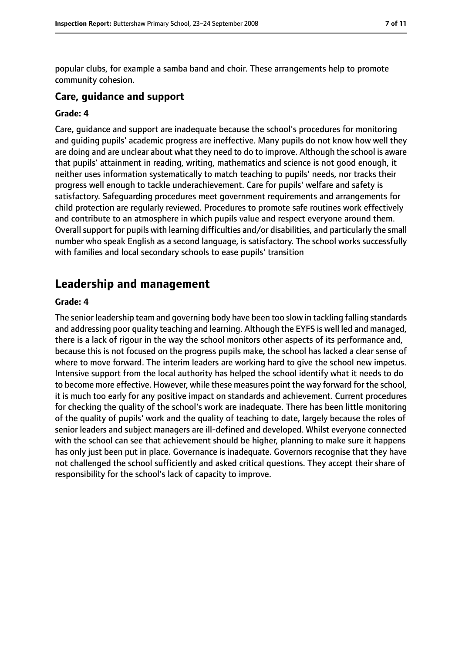popular clubs, for example a samba band and choir. These arrangements help to promote community cohesion.

## **Care, guidance and support**

#### **Grade: 4**

Care, guidance and support are inadequate because the school's procedures for monitoring and guiding pupils' academic progress are ineffective. Many pupils do not know how well they are doing and are unclear about what they need to do to improve. Although the school is aware that pupils' attainment in reading, writing, mathematics and science is not good enough, it neither uses information systematically to match teaching to pupils' needs, nor tracks their progress well enough to tackle underachievement. Care for pupils' welfare and safety is satisfactory. Safeguarding procedures meet government requirements and arrangements for child protection are regularly reviewed. Procedures to promote safe routines work effectively and contribute to an atmosphere in which pupils value and respect everyone around them. Overall support for pupils with learning difficulties and/or disabilities, and particularly the small number who speak English as a second language, is satisfactory. The school works successfully with families and local secondary schools to ease pupils' transition

# **Leadership and management**

#### **Grade: 4**

The senior leadership team and governing body have been too slow in tackling falling standards and addressing poor quality teaching and learning. Although the EYFS is well led and managed, there is a lack of rigour in the way the school monitors other aspects of its performance and, because this is not focused on the progress pupils make, the school has lacked a clear sense of where to move forward. The interim leaders are working hard to give the school new impetus. Intensive support from the local authority has helped the school identify what it needs to do to become more effective. However, while these measures point the way forward for the school, it is much too early for any positive impact on standards and achievement. Current procedures for checking the quality of the school's work are inadequate. There has been little monitoring of the quality of pupils' work and the quality of teaching to date, largely because the roles of senior leaders and subject managers are ill-defined and developed. Whilst everyone connected with the school can see that achievement should be higher, planning to make sure it happens has only just been put in place. Governance is inadequate. Governors recognise that they have not challenged the school sufficiently and asked critical questions. They accept their share of responsibility for the school's lack of capacity to improve.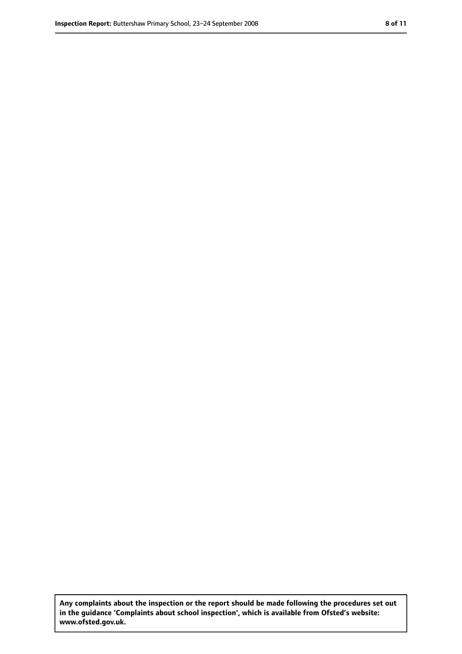**Any complaints about the inspection or the report should be made following the procedures set out in the guidance 'Complaints about school inspection', which is available from Ofsted's website: www.ofsted.gov.uk.**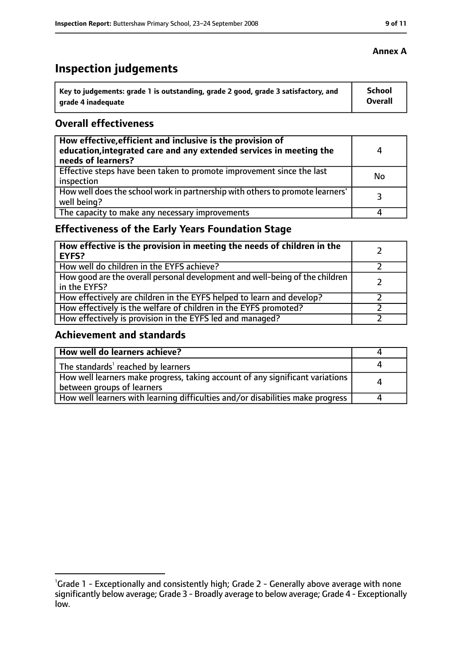# **Inspection judgements**

| Key to judgements: grade 1 is outstanding, grade 2 good, grade 3 satisfactory, and | <b>School</b>  |
|------------------------------------------------------------------------------------|----------------|
| arade 4 inadequate                                                                 | <b>Overall</b> |

## **Overall effectiveness**

| How effective, efficient and inclusive is the provision of<br>education, integrated care and any extended services in meeting the<br>needs of learners? | 4  |
|---------------------------------------------------------------------------------------------------------------------------------------------------------|----|
| Effective steps have been taken to promote improvement since the last<br>inspection                                                                     | No |
| How well does the school work in partnership with others to promote learners'<br>well being?                                                            | 3  |
| The capacity to make any necessary improvements                                                                                                         |    |

# **Effectiveness of the Early Years Foundation Stage**

| How effective is the provision in meeting the needs of children in the<br><b>EYFS?</b>       |  |
|----------------------------------------------------------------------------------------------|--|
| How well do children in the EYFS achieve?                                                    |  |
| How good are the overall personal development and well-being of the children<br>in the EYFS? |  |
| How effectively are children in the EYFS helped to learn and develop?                        |  |
| How effectively is the welfare of children in the EYFS promoted?                             |  |
| How effectively is provision in the EYFS led and managed?                                    |  |

# **Achievement and standards**

| How well do learners achieve?                                                                               |  |
|-------------------------------------------------------------------------------------------------------------|--|
| The standards <sup>1</sup> reached by learners                                                              |  |
| How well learners make progress, taking account of any significant variations<br>between groups of learners |  |
| How well learners with learning difficulties and/or disabilities make progress                              |  |

## **Annex A**

<sup>&</sup>lt;sup>1</sup>Grade 1 - Exceptionally and consistently high; Grade 2 - Generally above average with none significantly below average; Grade 3 - Broadly average to below average; Grade 4 - Exceptionally low.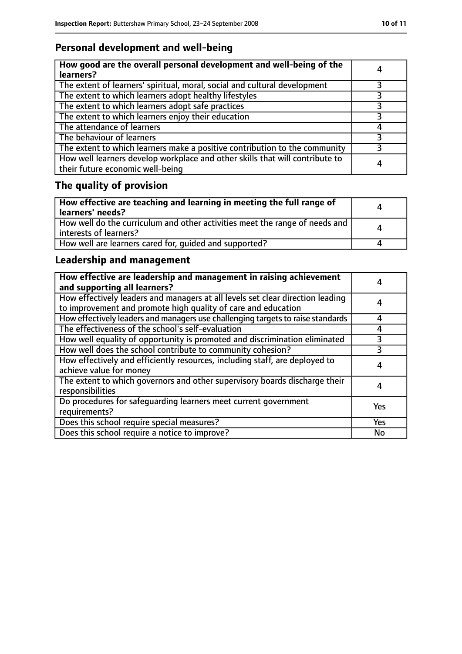# **Personal development and well-being**

| How good are the overall personal development and well-being of the<br>learners?                                 |   |
|------------------------------------------------------------------------------------------------------------------|---|
| The extent of learners' spiritual, moral, social and cultural development                                        | 3 |
| The extent to which learners adopt healthy lifestyles                                                            |   |
| The extent to which learners adopt safe practices                                                                |   |
| The extent to which learners enjoy their education                                                               | २ |
| The attendance of learners                                                                                       |   |
| The behaviour of learners                                                                                        |   |
| The extent to which learners make a positive contribution to the community                                       |   |
| How well learners develop workplace and other skills that will contribute to<br>their future economic well-being | 4 |

# **The quality of provision**

| How effective are teaching and learning in meeting the full range of<br>learners' needs?              | Δ        |
|-------------------------------------------------------------------------------------------------------|----------|
| How well do the curriculum and other activities meet the range of needs and<br>interests of learners? | $\Delta$ |
| How well are learners cared for, quided and supported?                                                |          |

# **Leadership and management**

| How effective are leadership and management in raising achievement<br>and supporting all learners?                                              |     |
|-------------------------------------------------------------------------------------------------------------------------------------------------|-----|
| How effectively leaders and managers at all levels set clear direction leading<br>to improvement and promote high quality of care and education | 4   |
| How effectively leaders and managers use challenging targets to raise standards                                                                 | 4   |
| The effectiveness of the school's self-evaluation                                                                                               | 4   |
| How well equality of opportunity is promoted and discrimination eliminated                                                                      | 3   |
| How well does the school contribute to community cohesion?                                                                                      | 3   |
| How effectively and efficiently resources, including staff, are deployed to<br>achieve value for money                                          | 4   |
| The extent to which governors and other supervisory boards discharge their<br>responsibilities                                                  | 4   |
| Do procedures for safequarding learners meet current government<br>requirements?                                                                | Yes |
| Does this school require special measures?                                                                                                      | Yes |
| Does this school require a notice to improve?                                                                                                   | No  |